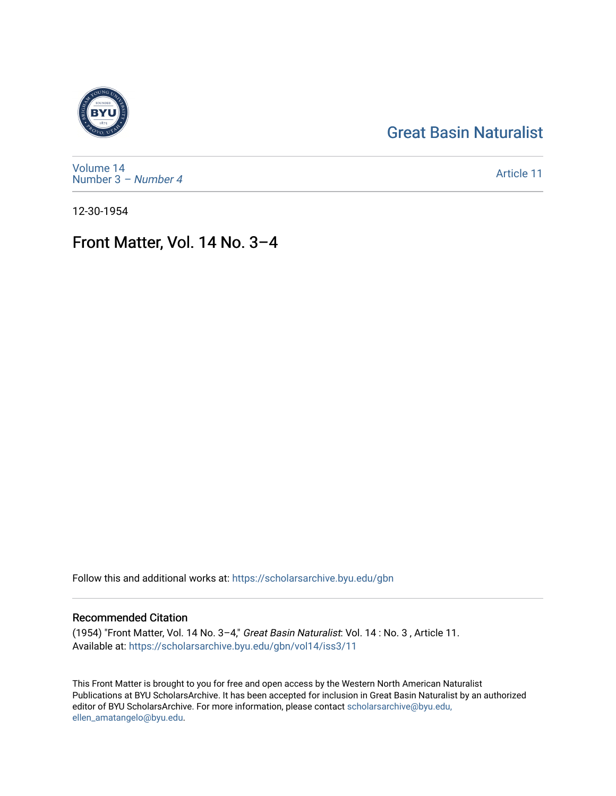## [Great Basin Naturalist](https://scholarsarchive.byu.edu/gbn)



[Volume 14](https://scholarsarchive.byu.edu/gbn/vol14) [Number 3](https://scholarsarchive.byu.edu/gbn/vol14/iss3) – Number 4

[Article 11](https://scholarsarchive.byu.edu/gbn/vol14/iss3/11) 

12-30-1954

# Front Matter, Vol. 14 No. 3–4

Follow this and additional works at: [https://scholarsarchive.byu.edu/gbn](https://scholarsarchive.byu.edu/gbn?utm_source=scholarsarchive.byu.edu%2Fgbn%2Fvol14%2Fiss3%2F11&utm_medium=PDF&utm_campaign=PDFCoverPages) 

#### Recommended Citation

(1954) "Front Matter, Vol. 14 No. 3–4," Great Basin Naturalist: Vol. 14 : No. 3 , Article 11. Available at: [https://scholarsarchive.byu.edu/gbn/vol14/iss3/11](https://scholarsarchive.byu.edu/gbn/vol14/iss3/11?utm_source=scholarsarchive.byu.edu%2Fgbn%2Fvol14%2Fiss3%2F11&utm_medium=PDF&utm_campaign=PDFCoverPages) 

This Front Matter is brought to you for free and open access by the Western North American Naturalist Publications at BYU ScholarsArchive. It has been accepted for inclusion in Great Basin Naturalist by an authorized editor of BYU ScholarsArchive. For more information, please contact [scholarsarchive@byu.edu,](mailto:scholarsarchive@byu.edu,%20ellen_amatangelo@byu.edu) [ellen\\_amatangelo@byu.edu](mailto:scholarsarchive@byu.edu,%20ellen_amatangelo@byu.edu).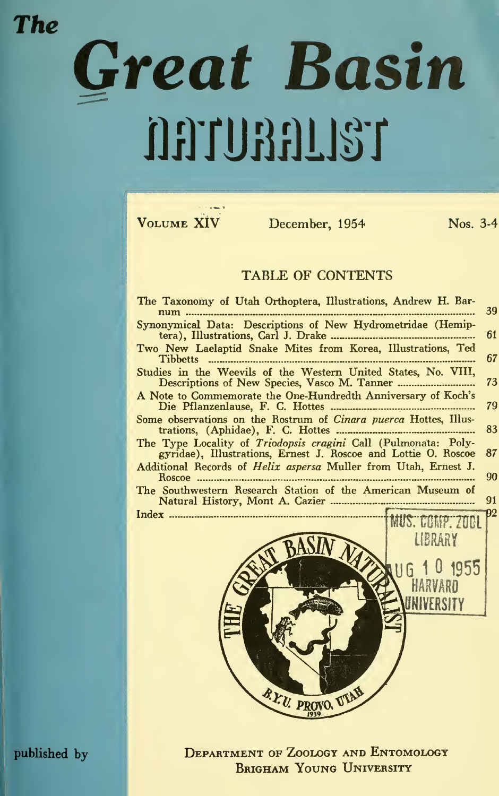### **The**

# Great Basin naunanist

VOLUME XIV

December, 1954

Nos. 3-4

#### TABLE OF CONTENTS

| The Taxonomy of Utah Orthoptera, Illustrations, Andrew H. Bar-<br>num                                                            | 39                    |
|----------------------------------------------------------------------------------------------------------------------------------|-----------------------|
| Synonymical Data: Descriptions of New Hydrometridae (Hemip-                                                                      | 61                    |
| Two New Laelaptid Snake Mites from Korea, Illustrations, Ted<br>Tibbetts                                                         | 67                    |
| Studies in the Weevils of the Western United States, No. VIII,                                                                   | 73                    |
| A Note to Commemorate the One-Hundredth Anniversary of Koch's                                                                    | 79                    |
| Some observations on the Rostrum of Cinara puerca Hottes, Illus-                                                                 | 83                    |
| The Type Locality of Triodopsis cragini Call (Pulmonata: Poly-<br>gyridae), Illustrations, Ernest J. Roscoe and Lottie O. Roscoe | 87                    |
| Additional Records of Helix aspersa Muller from Utah, Ernest J.<br>Roscoe                                                        | 90                    |
| The Southwestern Research Station of the American Museum of                                                                      | 91                    |
|                                                                                                                                  | 92<br>MUS. COMP. 2001 |
|                                                                                                                                  | LIBRARY               |
|                                                                                                                                  |                       |
|                                                                                                                                  | 116 1 0 1955          |
|                                                                                                                                  |                       |
|                                                                                                                                  | JNIVERSITY            |
|                                                                                                                                  |                       |
|                                                                                                                                  |                       |
|                                                                                                                                  |                       |
|                                                                                                                                  |                       |
| TITAL<br>B. Fri m                                                                                                                |                       |

**DEPARTMENT OF ZOOLOGY AND ENTOMOLOGY BRIGHAM YOUNG UNIVERSITY** 

published by